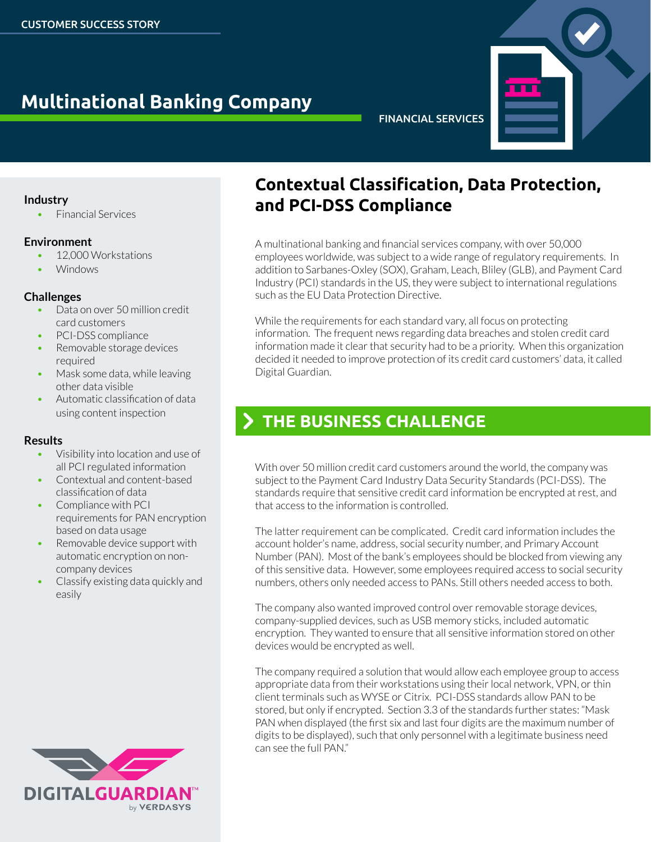# **Multinational Banking Company**

#### FINANCIAL SERVICES

#### **Industry**

**Financial Services** 

#### **Environment**

- 12,000 Workstations
- **Windows**

#### **Challenges**

- Data on over 50 million credit card customers
- PCI-DSS compliance
- **Removable storage devices** required
- Mask some data, while leaving other data visible
- Automatic classification of data using content inspection

#### **Results**

- Visibility into location and use of all PCIregulated information
- Contextual and content-based classification of data
- Compliance with PCI requirements for PAN encryption based on data usage
- Removable device support with automatic encryption on noncompany devices
- Classify existing data quickly and easily



### **Contextual Classification, Data Protection, and PCI-DSS Compliance**

A multinational banking and financial services company, with over 50,000 employees worldwide, was subject to a wide range of regulatory requirements. In addition to Sarbanes-Oxley (SOX), Graham, Leach, Bliley (GLB), and Payment Card Industry (PCI) standards in the US, they were subject to international regulations such as the EU Data Protection Directive.

While the requirements for each standard vary, all focus on protecting information. The frequent news regarding data breaches and stolen credit card information made it clear that security had to be a priority. When this organization decided it needed to improve protection of its credit card customers' data, it called Digital Guardian.

## > THE BUSINESS CHALLENGE

With over 50 million credit card customers around the world, the company was subject to the Payment Card Industry Data Security Standards (PCI-DSS). The standards require that sensitive credit card information be encrypted at rest, and that access to the information is controlled.

The latter requirement can be complicated. Credit card information includes the account holder's name, address, social security number, and Primary Account Number(PAN). Most of the bank's employees should be blocked from viewing any of this sensitive data. However, some employees required access to social security numbers, others only needed access to PANs. Still others needed access to both.

The company also wanted improved control over removable storage devices, company-supplied devices, such as USB memory sticks, included automatic encryption. They wanted to ensure that all sensitive information stored on other devices would be encrypted as well.

The company required a solution that would allow each employee group to access appropriate data from their workstations using their local network, VPN, or thin client terminals such as WYSE or Citrix. PCI-DSS standards allow PAN to be stored, but only if encrypted. Section 3.3 of the standards further states: "Mask PAN when displayed (the first six and last four digits are the maximum number of digits to be displayed), such that only personnel with a legitimate business need can see the full PAN."